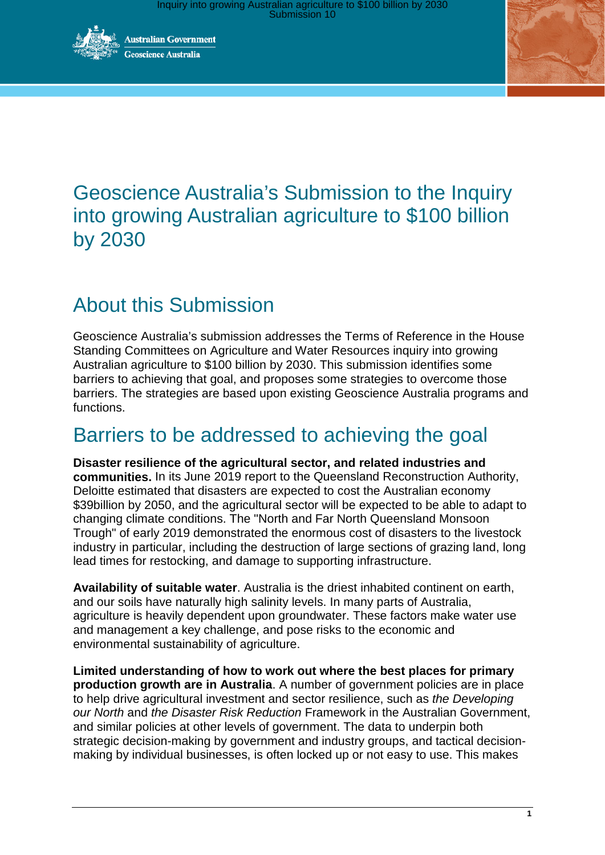

**Australian Government** eoscience Australia



# Geoscience Australia's Submission to the Inquiry into growing Australian agriculture to \$100 billion by 2030

# About this Submission

Geoscience Australia's submission addresses the Terms of Reference in the House Standing Committees on Agriculture and Water Resources inquiry into growing Australian agriculture to \$100 billion by 2030. This submission identifies some barriers to achieving that goal, and proposes some strategies to overcome those barriers. The strategies are based upon existing Geoscience Australia programs and functions.

## Barriers to be addressed to achieving the goal

**Disaster resilience of the agricultural sector, and related industries and communities.** In its June 2019 report to the Queensland Reconstruction Authority, Deloitte estimated that disasters are expected to cost the Australian economy \$39billion by 2050, and the agricultural sector will be expected to be able to adapt to changing climate conditions. The "North and Far North Queensland Monsoon Trough" of early 2019 demonstrated the enormous cost of disasters to the livestock industry in particular, including the destruction of large sections of grazing land, long lead times for restocking, and damage to supporting infrastructure.

**Availability of suitable water**. Australia is the driest inhabited continent on earth, and our soils have naturally high salinity levels. In many parts of Australia, agriculture is heavily dependent upon groundwater. These factors make water use and management a key challenge, and pose risks to the economic and environmental sustainability of agriculture.

**Limited understanding of how to work out where the best places for primary production growth are in Australia**. A number of government policies are in place to help drive agricultural investment and sector resilience, such as *the Developing our North* and *the Disaster Risk Reduction* Framework in the Australian Government, and similar policies at other levels of government. The data to underpin both strategic decision-making by government and industry groups, and tactical decisionmaking by individual businesses, is often locked up or not easy to use. This makes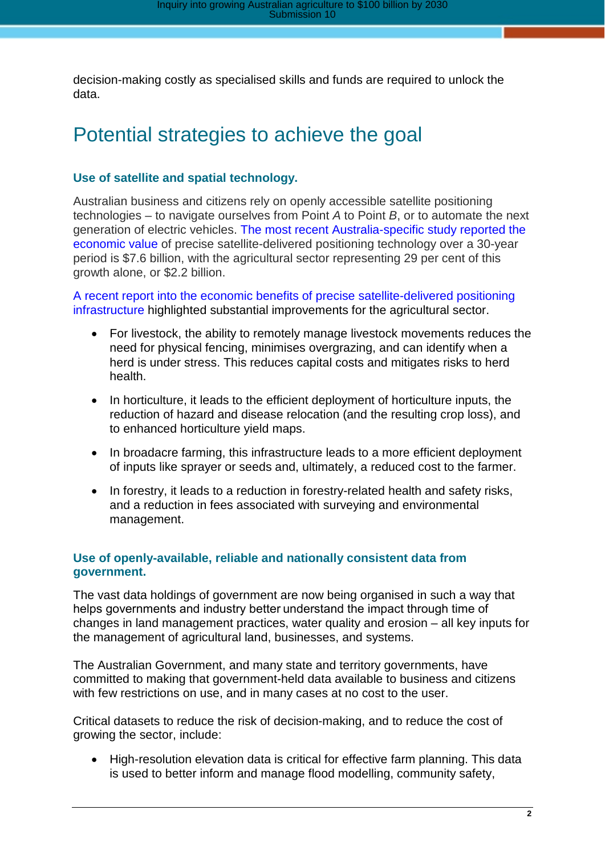decision-making costly as specialised skills and funds are required to unlock the data.

## Potential strategies to achieve the goal

#### **Use of satellite and spatial technology.**

Australian business and citizens rely on openly accessible satellite positioning technologies – to navigate ourselves from Point *A* to Point *B*, or to automate the next generation of electric vehicles. The [most recent Australia-specific study reported the](https://frontiersi.com.au/wp-content/uploads/2018/08/SBAS-Economic-Benefits-Report.pdf)  [economic value](https://frontiersi.com.au/wp-content/uploads/2018/08/SBAS-Economic-Benefits-Report.pdf) of precise satellite-delivered positioning technology over a 30-year period is \$7.6 billion, with the agricultural sector representing 29 per cent of this growth alone, or \$2.2 billion.

[A recent report into the economic benefits of precise satellite-delivered positioning](https://frontiersi.com.au/wp-content/uploads/2018/08/SBAS-Economic-Benefits-Report.pdf)  [infrastructure](https://frontiersi.com.au/wp-content/uploads/2018/08/SBAS-Economic-Benefits-Report.pdf) highlighted substantial improvements for the agricultural sector.

- For livestock, the ability to remotely manage livestock movements reduces the need for physical fencing, minimises overgrazing, and can identify when a herd is under stress. This reduces capital costs and mitigates risks to herd health.
- In horticulture, it leads to the efficient deployment of horticulture inputs, the reduction of hazard and disease relocation (and the resulting crop loss), and to enhanced horticulture yield maps.
- In broadacre farming, this infrastructure leads to a more efficient deployment of inputs like sprayer or seeds and, ultimately, a reduced cost to the farmer.
- In forestry, it leads to a reduction in forestry-related health and safety risks, and a reduction in fees associated with surveying and environmental management.

#### **Use of openly-available, reliable and nationally consistent data from government.**

The vast data holdings of government are now being organised in such a way that helps governments and industry better understand the impact through time of changes in land management practices, water quality and erosion – all key inputs for the management of agricultural land, businesses, and systems.

The Australian Government, and many state and territory governments, have committed to making that government-held data available to business and citizens with few restrictions on use, and in many cases at no cost to the user.

Critical datasets to reduce the risk of decision-making, and to reduce the cost of growing the sector, include:

• High-resolution elevation data is critical for effective farm planning. This data is used to better inform and manage flood modelling, community safety,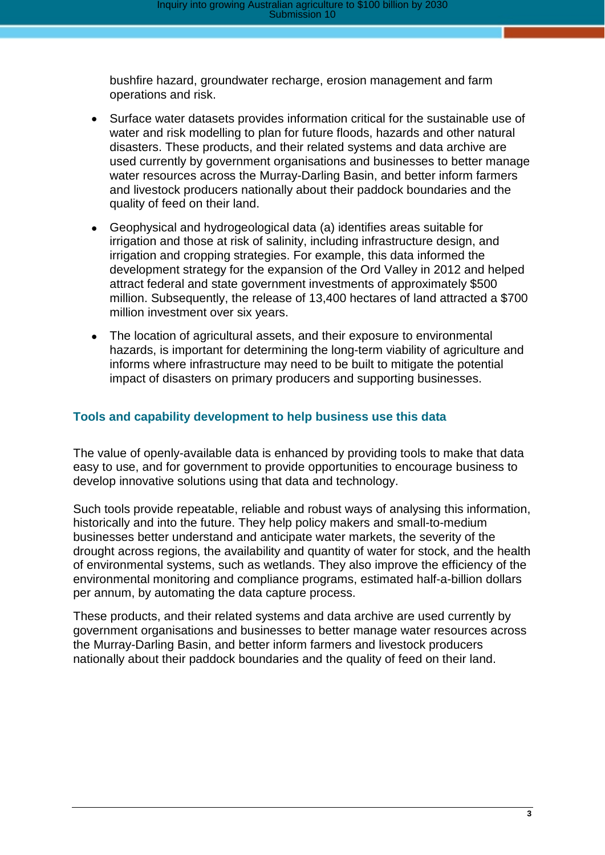bushfire hazard, groundwater recharge, erosion management and farm operations and risk.

- Surface water datasets provides information critical for the sustainable use of water and risk modelling to plan for future floods, hazards and other natural disasters. These products, and their related systems and data archive are used currently by government organisations and businesses to better manage water resources across the Murray-Darling Basin, and better inform farmers and livestock producers nationally about their paddock boundaries and the quality of feed on their land.
- Geophysical and hydrogeological data (a) identifies areas suitable for irrigation and those at risk of salinity, including infrastructure design, and irrigation and cropping strategies. For example, this data informed the development strategy for the expansion of the Ord Valley in 2012 and helped attract federal and state government investments of approximately \$500 million. Subsequently, the release of 13,400 hectares of land attracted a \$700 million investment over six years.
- The location of agricultural assets, and their exposure to environmental hazards, is important for determining the long-term viability of agriculture and informs where infrastructure may need to be built to mitigate the potential impact of disasters on primary producers and supporting businesses.

#### **Tools and capability development to help business use this data**

The value of openly-available data is enhanced by providing tools to make that data easy to use, and for government to provide opportunities to encourage business to develop innovative solutions using that data and technology.

Such tools provide repeatable, reliable and robust ways of analysing this information, historically and into the future. They help policy makers and small-to-medium businesses better understand and anticipate water markets, the severity of the drought across regions, the availability and quantity of water for stock, and the health of environmental systems, such as wetlands. They also improve the efficiency of the environmental monitoring and compliance programs, estimated half-a-billion dollars per annum, by automating the data capture process.

These products, and their related systems and data archive are used currently by government organisations and businesses to better manage water resources across the Murray-Darling Basin, and better inform farmers and livestock producers nationally about their paddock boundaries and the quality of feed on their land.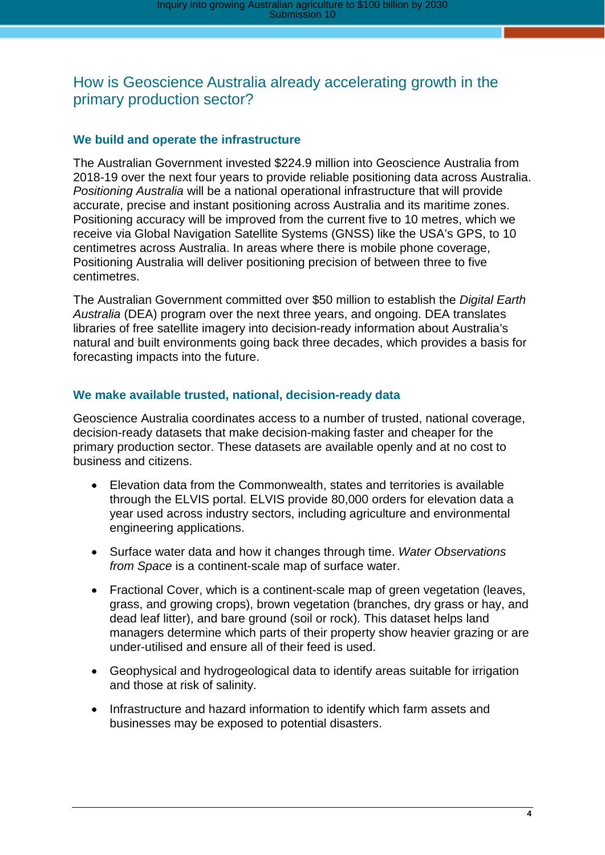### How is Geoscience Australia already accelerating growth in the primary production sector?

#### **We build and operate the infrastructure**

The Australian Government invested \$224.9 million into Geoscience Australia from 2018-19 over the next four years to provide reliable positioning data across Australia. *Positioning Australia* will be a national operational infrastructure that will provide accurate, precise and instant positioning across Australia and its maritime zones. Positioning accuracy will be improved from the current five to 10 metres, which we receive via Global Navigation Satellite Systems (GNSS) like the USA's GPS, to 10 centimetres across Australia. In areas where there is mobile phone coverage, Positioning Australia will deliver positioning precision of between three to five centimetres.

The Australian Government committed over \$50 million to establish the *Digital Earth Australia* (DEA) program over the next three years, and ongoing. DEA translates libraries of free satellite imagery into decision-ready information about Australia's natural and built environments going back three decades, which provides a basis for forecasting impacts into the future.

#### **We make available trusted, national, decision-ready data**

Geoscience Australia coordinates access to a number of trusted, national coverage, decision-ready datasets that make decision-making faster and cheaper for the primary production sector. These datasets are available openly and at no cost to business and citizens.

- Elevation data from the Commonwealth, states and territories is available through the ELVIS portal. ELVIS provide 80,000 orders for elevation data a year used across industry sectors, including agriculture and environmental engineering applications.
- Surface water data and how it changes through time. *Water Observations from Space* is a continent-scale map of surface water.
- Fractional Cover, which is a continent-scale map of green vegetation (leaves, grass, and growing crops), brown vegetation (branches, dry grass or hay, and dead leaf litter), and bare ground (soil or rock). This dataset helps land managers determine which parts of their property show heavier grazing or are under-utilised and ensure all of their feed is used.
- Geophysical and hydrogeological data to identify areas suitable for irrigation and those at risk of salinity.
- Infrastructure and hazard information to identify which farm assets and businesses may be exposed to potential disasters.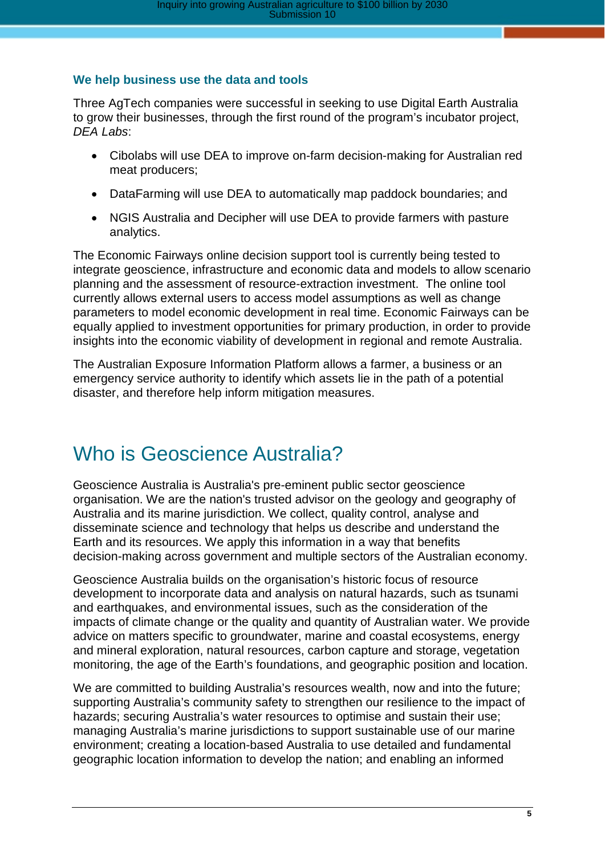#### **We help business use the data and tools**

Three AgTech companies were successful in seeking to use Digital Earth Australia to grow their businesses, through the first round of the program's incubator project, *DEA Labs*:

- Cibolabs will use DEA to improve on-farm decision-making for Australian red meat producers;
- DataFarming will use DEA to automatically map paddock boundaries; and
- NGIS Australia and Decipher will use DEA to provide farmers with pasture analytics.

The Economic Fairways online decision support tool is currently being tested to integrate geoscience, infrastructure and economic data and models to allow scenario planning and the assessment of resource-extraction investment. The online tool currently allows external users to access model assumptions as well as change parameters to model economic development in real time. Economic Fairways can be equally applied to investment opportunities for primary production, in order to provide insights into the economic viability of development in regional and remote Australia.

The Australian Exposure Information Platform allows a farmer, a business or an emergency service authority to identify which assets lie in the path of a potential disaster, and therefore help inform mitigation measures.

## Who is Geoscience Australia?

Geoscience Australia is Australia's pre-eminent public sector geoscience organisation. We are the nation's trusted advisor on the geology and geography of Australia and its marine jurisdiction. We collect, quality control, analyse and disseminate science and technology that helps us describe and understand the Earth and its resources. We apply this information in a way that benefits decision-making across government and multiple sectors of the Australian economy.

Geoscience Australia builds on the organisation's historic focus of resource development to incorporate data and analysis on natural hazards, such as tsunami and earthquakes, and environmental issues, such as the consideration of the impacts of climate change or the quality and quantity of Australian water. We provide advice on matters specific to groundwater, marine and coastal ecosystems, energy and mineral exploration, natural resources, carbon capture and storage, vegetation monitoring, the age of the Earth's foundations, and geographic position and location.

We are committed to building Australia's resources wealth, now and into the future; supporting Australia's community safety to strengthen our resilience to the impact of hazards; securing Australia's water resources to optimise and sustain their use; managing Australia's marine jurisdictions to support sustainable use of our marine environment; creating a location-based Australia to use detailed and fundamental geographic location information to develop the nation; and enabling an informed